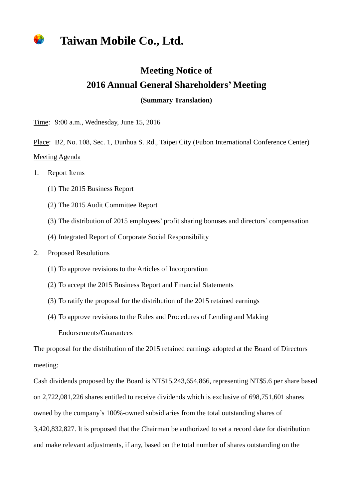## **Taiwan Mobile Co., Ltd.**

## **Meeting Notice of 2016 Annual General Shareholders' Meeting**

**(Summary Translation)**

Time: 9:00 a.m., Wednesday, June 15, 2016

Place: B2, No. 108, Sec. 1, Dunhua S. Rd., Taipei City (Fubon International Conference Center) Meeting Agenda

- 1. Report Items
	- (1) The 2015 Business Report
	- (2) The 2015 Audit Committee Report
	- (3) The distribution of 2015 employees' profit sharing bonuses and directors' compensation
	- (4) Integrated Report of Corporate Social Responsibility
- 2. Proposed Resolutions
	- (1) To approve revisions to the Articles of Incorporation
	- (2) To accept the 2015 Business Report and Financial Statements
	- (3) To ratify the proposal for the distribution of the 2015 retained earnings
	- (4) To approve revisions to the Rules and Procedures of Lending and Making Endorsements/Guarantees

The proposal for the distribution of the 2015 retained earnings adopted at the Board of Directors meeting:

Cash dividends proposed by the Board is NT\$15,243,654,866, representing NT\$5.6 per share based on 2,722,081,226 shares entitled to receive dividends which is exclusive of 698,751,601 shares owned by the company's 100%-owned subsidiaries from the total outstanding shares of 3,420,832,827. It is proposed that the Chairman be authorized to set a record date for distribution and make relevant adjustments, if any, based on the total number of shares outstanding on the